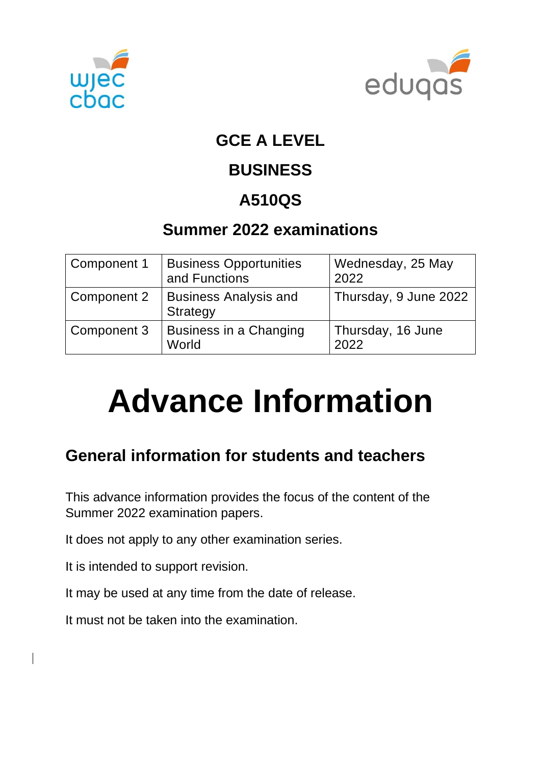



### **GCE A LEVEL**

## **BUSINESS**

# **A510QS**

## **Summer 2022 examinations**

| Component 1 | <b>Business Opportunities</b><br>and Functions  | Wednesday, 25 May<br>2022 |
|-------------|-------------------------------------------------|---------------------------|
| Component 2 | <b>Business Analysis and</b><br><b>Strategy</b> | Thursday, 9 June 2022     |
| Component 3 | <b>Business in a Changing</b><br>World          | Thursday, 16 June<br>2022 |

# **Advance Information**

## **General information for students and teachers**

This advance information provides the focus of the content of the Summer 2022 examination papers.

It does not apply to any other examination series.

It is intended to support revision.

It may be used at any time from the date of release.

It must not be taken into the examination.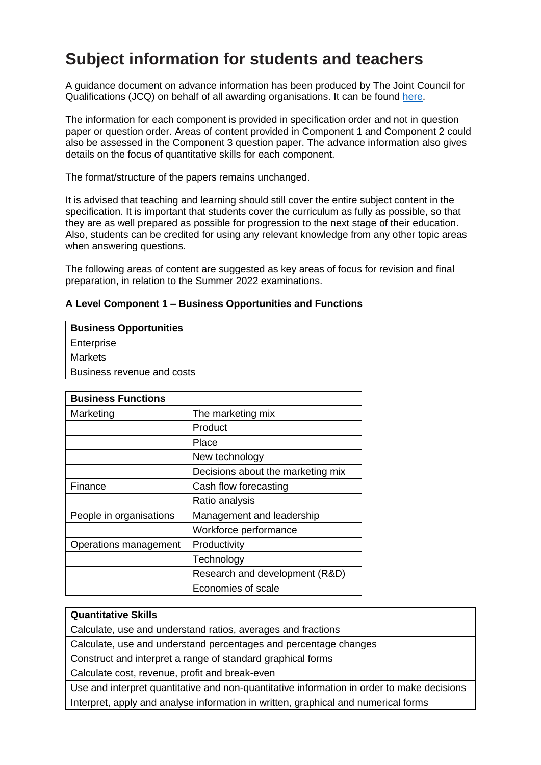## **Subject information for students and teachers**

A guidance document on advance information has been produced by The Joint Council for Qualifications (JCQ) on behalf of all awarding organisations. It can be found [here.](https://www.jcq.org.uk/wp-content/uploads/2021/10/Advance-Information-for-General-Qualifications-2021-22.pdf)

The information for each component is provided in specification order and not in question paper or question order. Areas of content provided in Component 1 and Component 2 could also be assessed in the Component 3 question paper. The advance information also gives details on the focus of quantitative skills for each component.

The format/structure of the papers remains unchanged.

It is advised that teaching and learning should still cover the entire subject content in the specification. It is important that students cover the curriculum as fully as possible, so that they are as well prepared as possible for progression to the next stage of their education. Also, students can be credited for using any relevant knowledge from any other topic areas when answering questions.

The following areas of content are suggested as key areas of focus for revision and final preparation, in relation to the Summer 2022 examinations.

#### **A Level Component 1 – Business Opportunities and Functions**

| <b>Business Opportunities</b> |  |  |
|-------------------------------|--|--|
| Enterprise                    |  |  |
| <b>Markets</b>                |  |  |
| Business revenue and costs    |  |  |
|                               |  |  |

| <b>Business Functions</b> |                                   |  |
|---------------------------|-----------------------------------|--|
| Marketing                 | The marketing mix                 |  |
|                           | Product                           |  |
|                           | Place                             |  |
|                           | New technology                    |  |
|                           | Decisions about the marketing mix |  |
| Finance                   | Cash flow forecasting             |  |
|                           | Ratio analysis                    |  |
| People in organisations   | Management and leadership         |  |
|                           | Workforce performance             |  |
| Operations management     | Productivity                      |  |
|                           | Technology                        |  |
|                           | Research and development (R&D)    |  |
|                           | Economies of scale                |  |

#### **Quantitative Skills**

Calculate, use and understand ratios, averages and fractions

Calculate, use and understand percentages and percentage changes

Construct and interpret a range of standard graphical forms

Calculate cost, revenue, profit and break-even

Use and interpret quantitative and non-quantitative information in order to make decisions Interpret, apply and analyse information in written, graphical and numerical forms